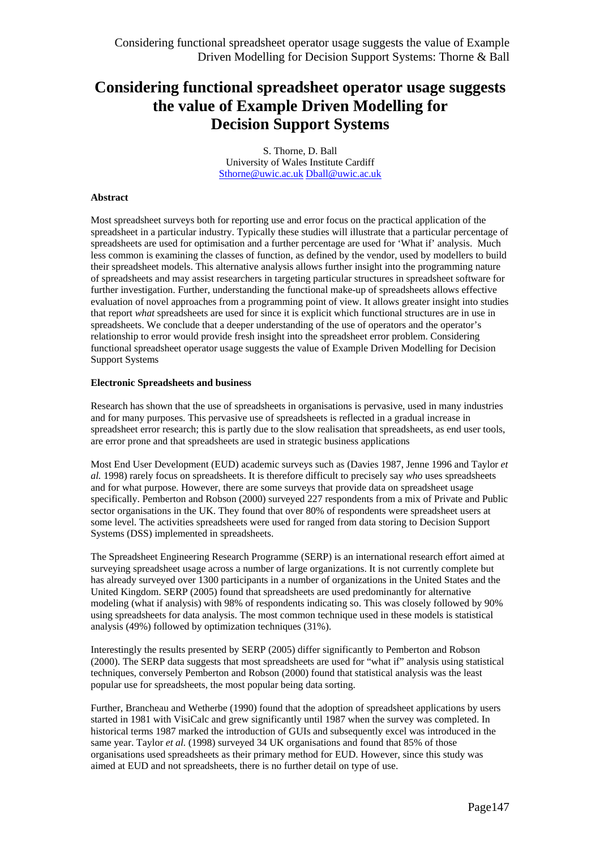S. Thorne, D. Ball University of Wales Institute Cardiff Sthorne@uwic.ac.uk Dball@uwic.ac.uk

#### **Abstract**

Most spreadsheet surveys both for reporting use and error focus on the practical application of the spreadsheet in a particular industry. Typically these studies will illustrate that a particular percentage of spreadsheets are used for optimisation and a further percentage are used for 'What if' analysis. Much less common is examining the classes of function, as defined by the vendor, used by modellers to build their spreadsheet models. This alternative analysis allows further insight into the programming nature of spreadsheets and may assist researchers in targeting particular structures in spreadsheet software for further investigation. Further, understanding the functional make-up of spreadsheets allows effective evaluation of novel approaches from a programming point of view. It allows greater insight into studies that report *what* spreadsheets are used for since it is explicit which functional structures are in use in spreadsheets. We conclude that a deeper understanding of the use of operators and the operator's relationship to error would provide fresh insight into the spreadsheet error problem. Considering functional spreadsheet operator usage suggests the value of Example Driven Modelling for Decision Support Systems

#### **Electronic Spreadsheets and business**

Research has shown that the use of spreadsheets in organisations is pervasive, used in many industries and for many purposes. This pervasive use of spreadsheets is reflected in a gradual increase in spreadsheet error research; this is partly due to the slow realisation that spreadsheets, as end user tools, are error prone and that spreadsheets are used in strategic business applications

Most End User Development (EUD) academic surveys such as (Davies 1987, Jenne 1996 and Taylor *et al.* 1998) rarely focus on spreadsheets. It is therefore difficult to precisely say *who* uses spreadsheets and for what purpose. However, there are some surveys that provide data on spreadsheet usage specifically. Pemberton and Robson (2000) surveyed 227 respondents from a mix of Private and Public sector organisations in the UK. They found that over 80% of respondents were spreadsheet users at some level. The activities spreadsheets were used for ranged from data storing to Decision Support Systems (DSS) implemented in spreadsheets.

The Spreadsheet Engineering Research Programme (SERP) is an international research effort aimed at surveying spreadsheet usage across a number of large organizations. It is not currently complete but has already surveyed over 1300 participants in a number of organizations in the United States and the United Kingdom. SERP (2005) found that spreadsheets are used predominantly for alternative modeling (what if analysis) with 98% of respondents indicating so. This was closely followed by 90% using spreadsheets for data analysis. The most common technique used in these models is statistical analysis (49%) followed by optimization techniques (31%).

Interestingly the results presented by SERP (2005) differ significantly to Pemberton and Robson (2000). The SERP data suggests that most spreadsheets are used for "what if" analysis using statistical techniques, conversely Pemberton and Robson (2000) found that statistical analysis was the least popular use for spreadsheets, the most popular being data sorting.

Further, Brancheau and Wetherbe (1990) found that the adoption of spreadsheet applications by users started in 1981 with VisiCalc and grew significantly until 1987 when the survey was completed. In historical terms 1987 marked the introduction of GUIs and subsequently excel was introduced in the same year. Taylor *et al.* (1998) surveyed 34 UK organisations and found that 85% of those organisations used spreadsheets as their primary method for EUD. However, since this study was aimed at EUD and not spreadsheets, there is no further detail on type of use.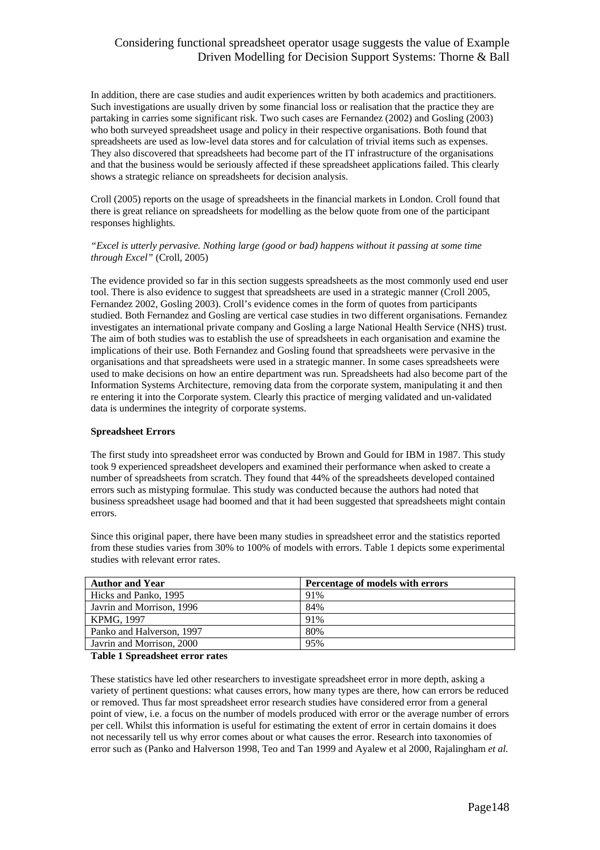In addition, there are case studies and audit experiences written by both academics and practitioners. Such investigations are usually driven by some financial loss or realisation that the practice they are partaking in carries some significant risk. Two such cases are Fernandez (2002) and Gosling (2003) who both surveyed spreadsheet usage and policy in their respective organisations. Both found that spreadsheets are used as low-level data stores and for calculation of trivial items such as expenses. They also discovered that spreadsheets had become part of the IT infrastructure of the organisations and that the business would be seriously affected if these spreadsheet applications failed. This clearly shows a strategic reliance on spreadsheets for decision analysis.

Croll (2005) reports on the usage of spreadsheets in the financial markets in London. Croll found that there is great reliance on spreadsheets for modelling as the below quote from one of the participant responses highlights.

### *"Excel is utterly pervasive. Nothing large (good or bad) happens without it passing at some time through Excel"* (Croll, 2005)

The evidence provided so far in this section suggests spreadsheets as the most commonly used end user tool. There is also evidence to suggest that spreadsheets are used in a strategic manner (Croll 2005, Fernandez 2002, Gosling 2003). Croll's evidence comes in the form of quotes from participants studied. Both Fernandez and Gosling are vertical case studies in two different organisations. Fernandez investigates an international private company and Gosling a large National Health Service (NHS) trust. The aim of both studies was to establish the use of spreadsheets in each organisation and examine the implications of their use. Both Fernandez and Gosling found that spreadsheets were pervasive in the organisations and that spreadsheets were used in a strategic manner. In some cases spreadsheets were used to make decisions on how an entire department was run. Spreadsheets had also become part of the Information Systems Architecture, removing data from the corporate system, manipulating it and then re entering it into the Corporate system. Clearly this practice of merging validated and un-validated data is undermines the integrity of corporate systems.

### **Spreadsheet Errors**

The first study into spreadsheet error was conducted by Brown and Gould for IBM in 1987. This study took 9 experienced spreadsheet developers and examined their performance when asked to create a number of spreadsheets from scratch. They found that 44% of the spreadsheets developed contained errors such as mistyping formulae. This study was conducted because the authors had noted that business spreadsheet usage had boomed and that it had been suggested that spreadsheets might contain errors.

Since this original paper, there have been many studies in spreadsheet error and the statistics reported from these studies varies from 30% to 100% of models with errors. Table 1 depicts some experimental studies with relevant error rates.

| <b>Author and Year</b>    | Percentage of models with errors |
|---------------------------|----------------------------------|
| Hicks and Panko, 1995     | 91%                              |
| Javrin and Morrison, 1996 | 84%                              |
| KPMG, 1997                | 91%                              |
| Panko and Halverson, 1997 | 80%                              |
| Javrin and Morrison, 2000 | 95%                              |

#### **Table 1 Spreadsheet error rates**

These statistics have led other researchers to investigate spreadsheet error in more depth, asking a variety of pertinent questions: what causes errors, how many types are there, how can errors be reduced or removed. Thus far most spreadsheet error research studies have considered error from a general point of view, i.e. a focus on the number of models produced with error or the average number of errors per cell. Whilst this information is useful for estimating the extent of error in certain domains it does not necessarily tell us why error comes about or what causes the error. Research into taxonomies of error such as (Panko and Halverson 1998, Teo and Tan 1999 and Ayalew et al 2000, Rajalingham *et al.*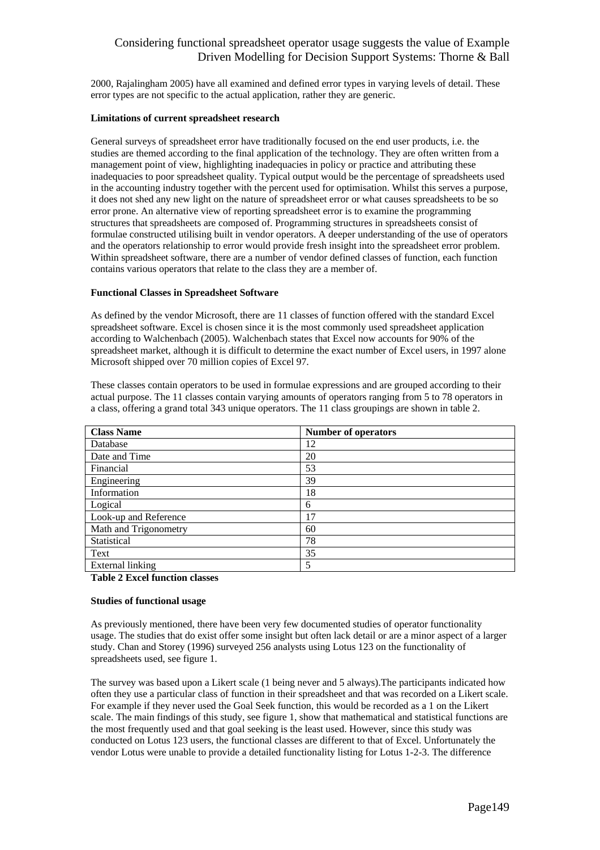2000, Rajalingham 2005) have all examined and defined error types in varying levels of detail. These error types are not specific to the actual application, rather they are generic.

#### **Limitations of current spreadsheet research**

General surveys of spreadsheet error have traditionally focused on the end user products, i.e. the studies are themed according to the final application of the technology. They are often written from a management point of view, highlighting inadequacies in policy or practice and attributing these inadequacies to poor spreadsheet quality. Typical output would be the percentage of spreadsheets used in the accounting industry together with the percent used for optimisation. Whilst this serves a purpose, it does not shed any new light on the nature of spreadsheet error or what causes spreadsheets to be so error prone. An alternative view of reporting spreadsheet error is to examine the programming structures that spreadsheets are composed of. Programming structures in spreadsheets consist of formulae constructed utilising built in vendor operators. A deeper understanding of the use of operators and the operators relationship to error would provide fresh insight into the spreadsheet error problem. Within spreadsheet software, there are a number of vendor defined classes of function, each function contains various operators that relate to the class they are a member of.

### **Functional Classes in Spreadsheet Software**

As defined by the vendor Microsoft, there are 11 classes of function offered with the standard Excel spreadsheet software. Excel is chosen since it is the most commonly used spreadsheet application according to Walchenbach (2005). Walchenbach states that Excel now accounts for 90% of the spreadsheet market, although it is difficult to determine the exact number of Excel users, in 1997 alone Microsoft shipped over 70 million copies of Excel 97.

These classes contain operators to be used in formulae expressions and are grouped according to their actual purpose. The 11 classes contain varying amounts of operators ranging from 5 to 78 operators in a class, offering a grand total 343 unique operators. The 11 class groupings are shown in table 2.

| <b>Class Name</b>     | <b>Number of operators</b> |
|-----------------------|----------------------------|
| Database              | 12                         |
| Date and Time         | 20                         |
| Financial             | 53                         |
| Engineering           | 39                         |
| Information           | 18                         |
| Logical               | 6                          |
| Look-up and Reference | 17                         |
| Math and Trigonometry | 60                         |
| Statistical           | 78                         |
| Text                  | 35                         |
| External linking      | 5                          |

### **Table 2 Excel function classes**

### **Studies of functional usage**

As previously mentioned, there have been very few documented studies of operator functionality usage. The studies that do exist offer some insight but often lack detail or are a minor aspect of a larger study. Chan and Storey (1996) surveyed 256 analysts using Lotus 123 on the functionality of spreadsheets used, see figure 1.

The survey was based upon a Likert scale (1 being never and 5 always).The participants indicated how often they use a particular class of function in their spreadsheet and that was recorded on a Likert scale. For example if they never used the Goal Seek function, this would be recorded as a 1 on the Likert scale. The main findings of this study, see figure 1, show that mathematical and statistical functions are the most frequently used and that goal seeking is the least used. However, since this study was conducted on Lotus 123 users, the functional classes are different to that of Excel. Unfortunately the vendor Lotus were unable to provide a detailed functionality listing for Lotus 1-2-3. The difference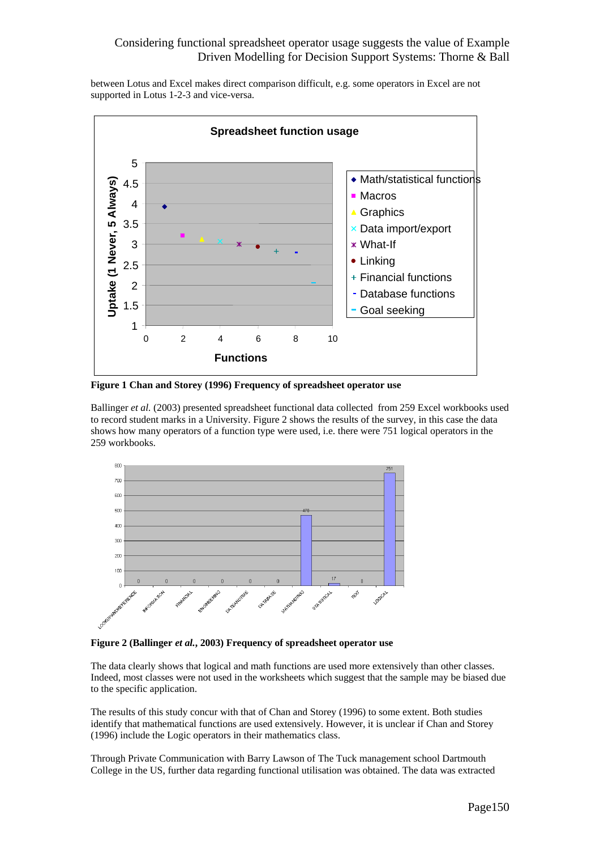between Lotus and Excel makes direct comparison difficult, e.g. some operators in Excel are not supported in Lotus 1-2-3 and vice-versa.



**Figure 1 Chan and Storey (1996) Frequency of spreadsheet operator use** 

Ballinger *et al.* (2003) presented spreadsheet functional data collected from 259 Excel workbooks used to record student marks in a University. Figure 2 shows the results of the survey, in this case the data shows how many operators of a function type were used, i.e. there were 751 logical operators in the 259 workbooks.



**Figure 2 (Ballinger** *et al.***, 2003) Frequency of spreadsheet operator use** 

The data clearly shows that logical and math functions are used more extensively than other classes. Indeed, most classes were not used in the worksheets which suggest that the sample may be biased due to the specific application.

The results of this study concur with that of Chan and Storey (1996) to some extent. Both studies identify that mathematical functions are used extensively. However, it is unclear if Chan and Storey (1996) include the Logic operators in their mathematics class.

Through Private Communication with Barry Lawson of The Tuck management school Dartmouth College in the US, further data regarding functional utilisation was obtained. The data was extracted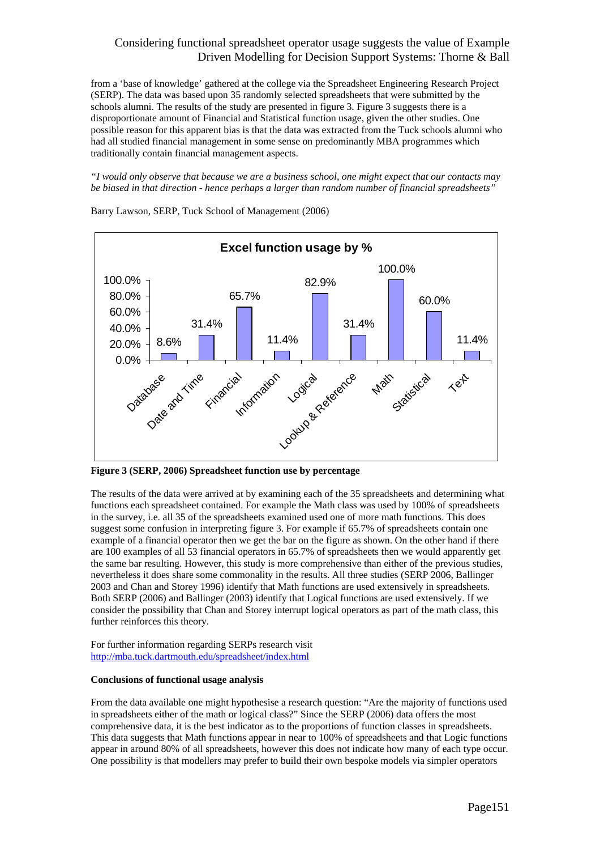from a 'base of knowledge' gathered at the college via the Spreadsheet Engineering Research Project (SERP). The data was based upon 35 randomly selected spreadsheets that were submitted by the schools alumni. The results of the study are presented in figure 3. Figure 3 suggests there is a disproportionate amount of Financial and Statistical function usage, given the other studies. One possible reason for this apparent bias is that the data was extracted from the Tuck schools alumni who had all studied financial management in some sense on predominantly MBA programmes which traditionally contain financial management aspects.

*"I would only observe that because we are a business school, one might expect that our contacts may be biased in that direction - hence perhaps a larger than random number of financial spreadsheets"* 



Barry Lawson, SERP, Tuck School of Management (2006)

**Figure 3 (SERP, 2006) Spreadsheet function use by percentage** 

The results of the data were arrived at by examining each of the 35 spreadsheets and determining what functions each spreadsheet contained. For example the Math class was used by 100% of spreadsheets in the survey, i.e. all 35 of the spreadsheets examined used one of more math functions. This does suggest some confusion in interpreting figure 3. For example if 65.7% of spreadsheets contain one example of a financial operator then we get the bar on the figure as shown. On the other hand if there are 100 examples of all 53 financial operators in 65.7% of spreadsheets then we would apparently get the same bar resulting. However, this study is more comprehensive than either of the previous studies, nevertheless it does share some commonality in the results. All three studies (SERP 2006, Ballinger 2003 and Chan and Storey 1996) identify that Math functions are used extensively in spreadsheets. Both SERP (2006) and Ballinger (2003) identify that Logical functions are used extensively. If we consider the possibility that Chan and Storey interrupt logical operators as part of the math class, this further reinforces this theory.

For further information regarding SERPs research visit http://mba.tuck.dartmouth.edu/spreadsheet/index.html

### **Conclusions of functional usage analysis**

From the data available one might hypothesise a research question: "Are the majority of functions used in spreadsheets either of the math or logical class?" Since the SERP (2006) data offers the most comprehensive data, it is the best indicator as to the proportions of function classes in spreadsheets. This data suggests that Math functions appear in near to 100% of spreadsheets and that Logic functions appear in around 80% of all spreadsheets, however this does not indicate how many of each type occur. One possibility is that modellers may prefer to build their own bespoke models via simpler operators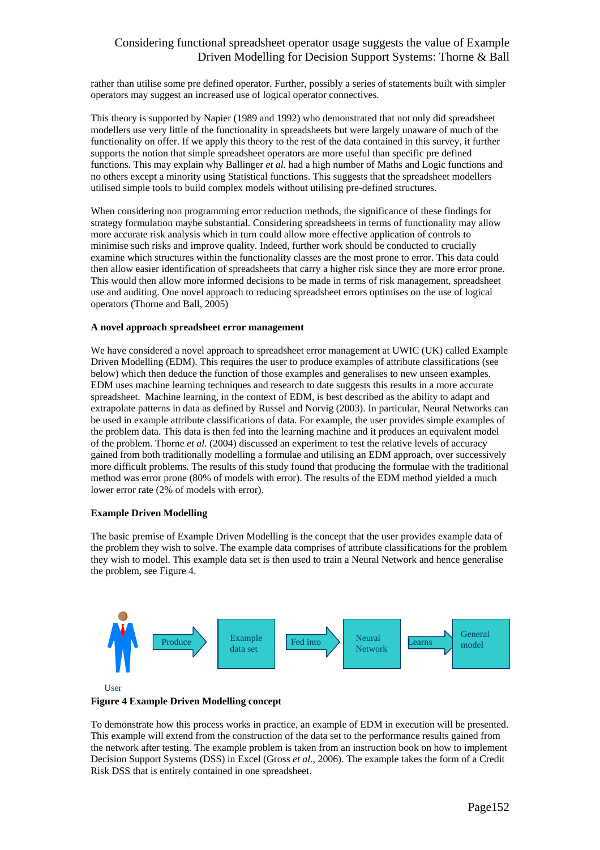rather than utilise some pre defined operator. Further, possibly a series of statements built with simpler operators may suggest an increased use of logical operator connectives.

This theory is supported by Napier (1989 and 1992) who demonstrated that not only did spreadsheet modellers use very little of the functionality in spreadsheets but were largely unaware of much of the functionality on offer. If we apply this theory to the rest of the data contained in this survey, it further supports the notion that simple spreadsheet operators are more useful than specific pre defined functions. This may explain why Ballinger *et al.* had a high number of Maths and Logic functions and no others except a minority using Statistical functions. This suggests that the spreadsheet modellers utilised simple tools to build complex models without utilising pre-defined structures.

When considering non programming error reduction methods, the significance of these findings for strategy formulation maybe substantial. Considering spreadsheets in terms of functionality may allow more accurate risk analysis which in turn could allow more effective application of controls to minimise such risks and improve quality. Indeed, further work should be conducted to crucially examine which structures within the functionality classes are the most prone to error. This data could then allow easier identification of spreadsheets that carry a higher risk since they are more error prone. This would then allow more informed decisions to be made in terms of risk management, spreadsheet use and auditing. One novel approach to reducing spreadsheet errors optimises on the use of logical operators (Thorne and Ball, 2005)

#### **A novel approach spreadsheet error management**

We have considered a novel approach to spreadsheet error management at UWIC (UK) called Example Driven Modelling (EDM). This requires the user to produce examples of attribute classifications (see below) which then deduce the function of those examples and generalises to new unseen examples. EDM uses machine learning techniques and research to date suggests this results in a more accurate spreadsheet. Machine learning, in the context of EDM, is best described as the ability to adapt and extrapolate patterns in data as defined by Russel and Norvig (2003). In particular, Neural Networks can be used in example attribute classifications of data. For example, the user provides simple examples of the problem data. This data is then fed into the learning machine and it produces an equivalent model of the problem. Thorne *et al.* (2004) discussed an experiment to test the relative levels of accuracy gained from both traditionally modelling a formulae and utilising an EDM approach, over successively more difficult problems. The results of this study found that producing the formulae with the traditional method was error prone (80% of models with error). The results of the EDM method yielded a much lower error rate (2% of models with error).

### **Example Driven Modelling**

The basic premise of Example Driven Modelling is the concept that the user provides example data of the problem they wish to solve. The example data comprises of attribute classifications for the problem they wish to model. This example data set is then used to train a Neural Network and hence generalise the problem, see Figure 4.





#### **Figure 4 Example Driven Modelling concept**

To demonstrate how this process works in practice, an example of EDM in execution will be presented. This example will extend from the construction of the data set to the performance results gained from the network after testing. The example problem is taken from an instruction book on how to implement Decision Support Systems (DSS) in Excel (Gross *et al.*, 2006). The example takes the form of a Credit Risk DSS that is entirely contained in one spreadsheet.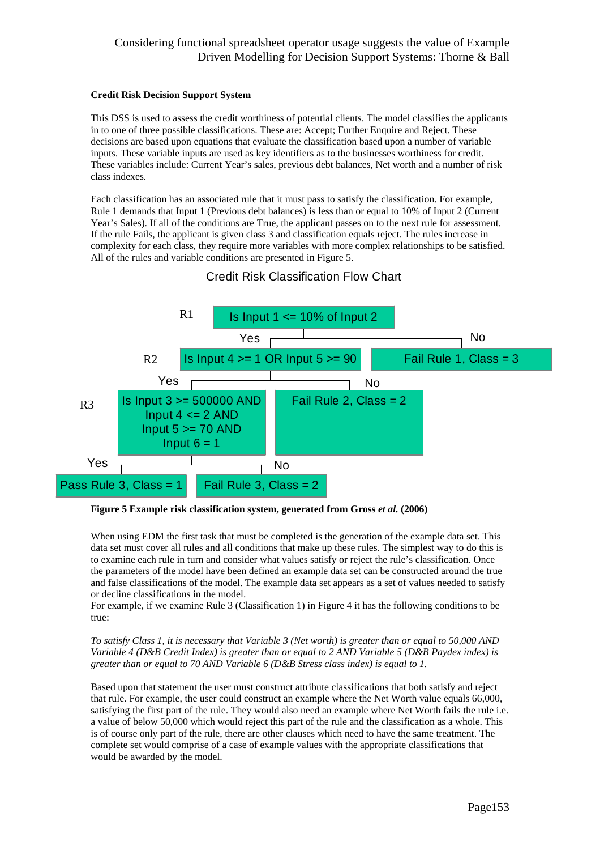### **Credit Risk Decision Support System**

This DSS is used to assess the credit worthiness of potential clients. The model classifies the applicants in to one of three possible classifications. These are: Accept; Further Enquire and Reject. These decisions are based upon equations that evaluate the classification based upon a number of variable inputs. These variable inputs are used as key identifiers as to the businesses worthiness for credit. These variables include: Current Year's sales, previous debt balances, Net worth and a number of risk class indexes.

Each classification has an associated rule that it must pass to satisfy the classification. For example, Rule 1 demands that Input 1 (Previous debt balances) is less than or equal to 10% of Input 2 (Current Year's Sales). If all of the conditions are True, the applicant passes on to the next rule for assessment. If the rule Fails, the applicant is given class 3 and classification equals reject. The rules increase in complexity for each class, they require more variables with more complex relationships to be satisfied. All of the rules and variable conditions are presented in Figure 5.



# Credit Risk Classification Flow Chart

**Figure 5 Example risk classification system, generated from Gross** *et al.* **(2006)** 

When using EDM the first task that must be completed is the generation of the example data set. This data set must cover all rules and all conditions that make up these rules. The simplest way to do this is to examine each rule in turn and consider what values satisfy or reject the rule's classification. Once the parameters of the model have been defined an example data set can be constructed around the true and false classifications of the model. The example data set appears as a set of values needed to satisfy or decline classifications in the model.

For example, if we examine Rule 3 (Classification 1) in Figure 4 it has the following conditions to be true:

*To satisfy Class 1, it is necessary that Variable 3 (Net worth) is greater than or equal to 50,000 AND Variable 4 (D&B Credit Index) is greater than or equal to 2 AND Variable 5 (D&B Paydex index) is greater than or equal to 70 AND Variable 6 (D&B Stress class index) is equal to 1.* 

Based upon that statement the user must construct attribute classifications that both satisfy and reject that rule. For example, the user could construct an example where the Net Worth value equals 66,000, satisfying the first part of the rule. They would also need an example where Net Worth fails the rule i.e. a value of below 50,000 which would reject this part of the rule and the classification as a whole. This is of course only part of the rule, there are other clauses which need to have the same treatment. The complete set would comprise of a case of example values with the appropriate classifications that would be awarded by the model.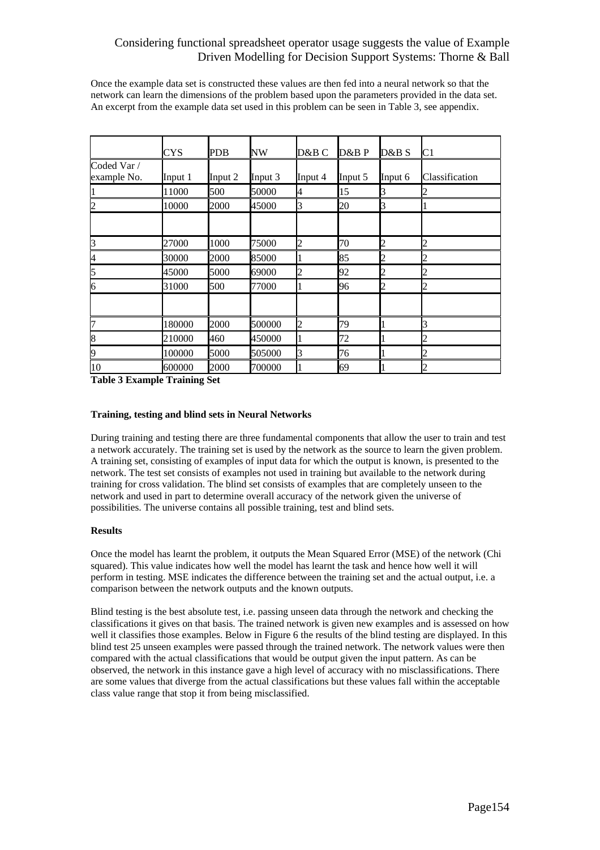Once the example data set is constructed these values are then fed into a neural network so that the network can learn the dimensions of the problem based upon the parameters provided in the data set. An excerpt from the example data set used in this problem can be seen in Table 3, see appendix.

|                            | CYS     | PDB     | NW      | D&B C          | D&B P   | D&B S          | C <sub>1</sub>                                                                                             |
|----------------------------|---------|---------|---------|----------------|---------|----------------|------------------------------------------------------------------------------------------------------------|
| Coded Var /<br>example No. | Input 1 | Input 2 | Input 3 | Input 4        | Input 5 | Input 6        | Classification                                                                                             |
|                            | 11000   | 500     | 50000   | 4              | 15      | 3              | l2                                                                                                         |
| 2                          | 10000   | 2000    | 45000   | 3              | 20      | 3              |                                                                                                            |
|                            |         |         |         |                |         |                |                                                                                                            |
| 3                          | 27000   | 1000    | 75000   | $\overline{c}$ | 70      | $\overline{c}$ | $\overline{2}$                                                                                             |
| $\overline{4}$             | 30000   | 2000    | 85000   |                | 85      | 2              | $\overline{2}$                                                                                             |
| 5                          | 45000   | 5000    | 69000   | $\overline{c}$ | 92      | $\overline{c}$ | $\overline{2}$                                                                                             |
| 6                          | 31000   | 500     | 77000   |                | 96      | 2              | $\boldsymbol{\mathsf{2}}$                                                                                  |
|                            |         |         |         |                |         |                |                                                                                                            |
| 7                          | 180000  | 2000    | 500000  | $\overline{c}$ | 79      |                | R                                                                                                          |
| 8                          | 210000  | 460     | 450000  |                | 72      |                | $\mathsf{D}% _{T}=\mathsf{D}_{T}\!\left( a,b\right) ,\ \mathsf{D}_{T}=\mathsf{D}_{T}\!\left( a,b\right) ,$ |
| 9                          | 100000  | 5000    | 505000  | 3              | 76      |                | $\overline{2}$                                                                                             |
| 10                         | 600000  | 2000    | 700000  |                | 69      |                | $\vert$ 2                                                                                                  |

**Table 3 Example Training Set**

### **Training, testing and blind sets in Neural Networks**

During training and testing there are three fundamental components that allow the user to train and test a network accurately. The training set is used by the network as the source to learn the given problem. A training set, consisting of examples of input data for which the output is known, is presented to the network. The test set consists of examples not used in training but available to the network during training for cross validation. The blind set consists of examples that are completely unseen to the network and used in part to determine overall accuracy of the network given the universe of possibilities. The universe contains all possible training, test and blind sets.

### **Results**

Once the model has learnt the problem, it outputs the Mean Squared Error (MSE) of the network (Chi squared). This value indicates how well the model has learnt the task and hence how well it will perform in testing. MSE indicates the difference between the training set and the actual output, i.e. a comparison between the network outputs and the known outputs.

Blind testing is the best absolute test, i.e. passing unseen data through the network and checking the classifications it gives on that basis. The trained network is given new examples and is assessed on how well it classifies those examples. Below in Figure 6 the results of the blind testing are displayed. In this blind test 25 unseen examples were passed through the trained network. The network values were then compared with the actual classifications that would be output given the input pattern. As can be observed, the network in this instance gave a high level of accuracy with no misclassifications. There are some values that diverge from the actual classifications but these values fall within the acceptable class value range that stop it from being misclassified.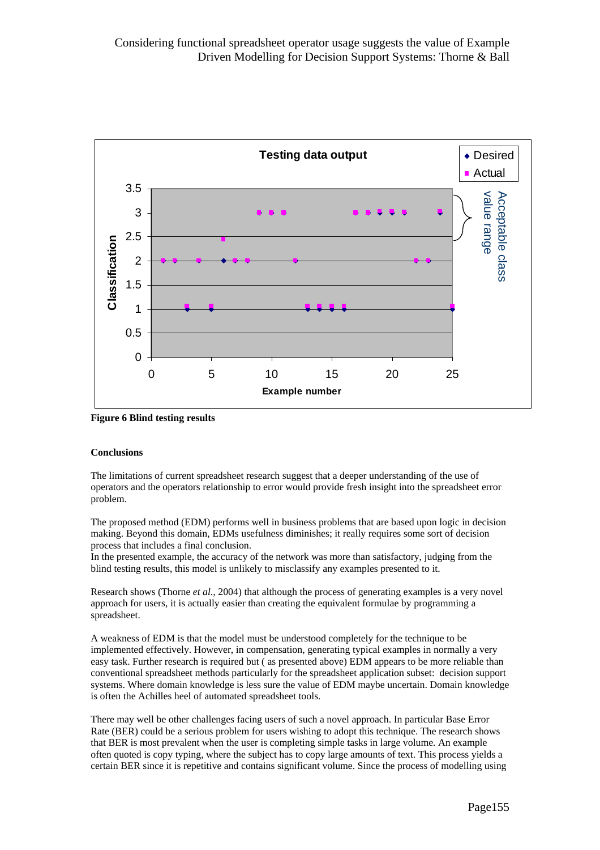

**Figure 6 Blind testing results**

### **Conclusions**

The limitations of current spreadsheet research suggest that a deeper understanding of the use of operators and the operators relationship to error would provide fresh insight into the spreadsheet error problem.

The proposed method (EDM) performs well in business problems that are based upon logic in decision making. Beyond this domain, EDMs usefulness diminishes; it really requires some sort of decision process that includes a final conclusion.

In the presented example, the accuracy of the network was more than satisfactory, judging from the blind testing results, this model is unlikely to misclassify any examples presented to it.

Research shows (Thorne *et al.,* 2004) that although the process of generating examples is a very novel approach for users, it is actually easier than creating the equivalent formulae by programming a spreadsheet.

A weakness of EDM is that the model must be understood completely for the technique to be implemented effectively. However, in compensation, generating typical examples in normally a very easy task. Further research is required but ( as presented above) EDM appears to be more reliable than conventional spreadsheet methods particularly for the spreadsheet application subset: decision support systems. Where domain knowledge is less sure the value of EDM maybe uncertain. Domain knowledge is often the Achilles heel of automated spreadsheet tools.

There may well be other challenges facing users of such a novel approach. In particular Base Error Rate (BER) could be a serious problem for users wishing to adopt this technique. The research shows that BER is most prevalent when the user is completing simple tasks in large volume. An example often quoted is copy typing, where the subject has to copy large amounts of text. This process yields a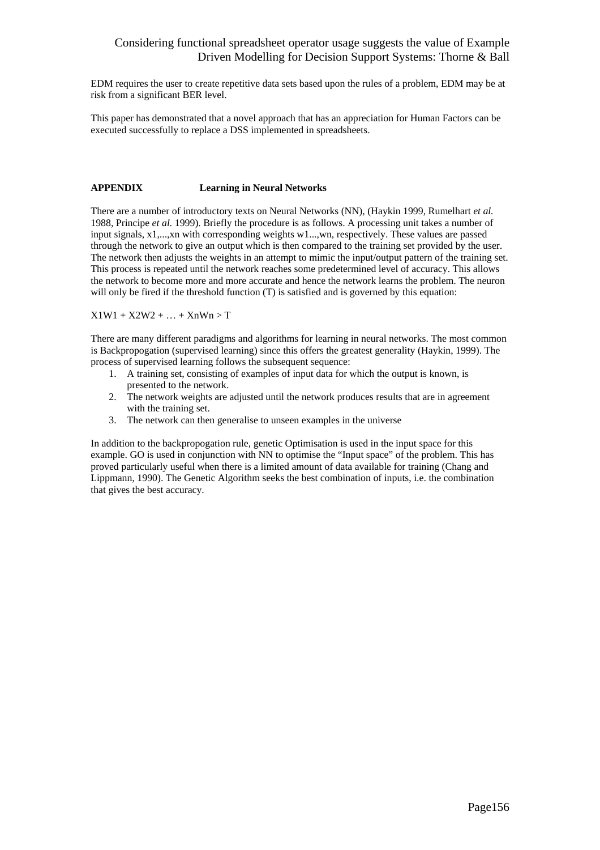EDM requires the user to create repetitive data sets based upon the rules of a problem, EDM may be at risk from a significant BER level.

This paper has demonstrated that a novel approach that has an appreciation for Human Factors can be executed successfully to replace a DSS implemented in spreadsheets.

### **APPENDIX Learning in Neural Networks**

There are a number of introductory texts on Neural Networks (NN), (Haykin 1999, Rumelhart *et al.*  1988, Principe *et al.* 1999). Briefly the procedure is as follows. A processing unit takes a number of input signals, x1,...,xn with corresponding weights w1...,wn, respectively. These values are passed through the network to give an output which is then compared to the training set provided by the user. The network then adjusts the weights in an attempt to mimic the input/output pattern of the training set. This process is repeated until the network reaches some predetermined level of accuracy. This allows the network to become more and more accurate and hence the network learns the problem. The neuron will only be fired if the threshold function  $(T)$  is satisfied and is governed by this equation:

 $X1W1 + X2W2 + ... + XnWn > T$ 

There are many different paradigms and algorithms for learning in neural networks. The most common is Backpropogation (supervised learning) since this offers the greatest generality (Haykin, 1999). The process of supervised learning follows the subsequent sequence:

- 1. A training set, consisting of examples of input data for which the output is known, is presented to the network.
- 2. The network weights are adjusted until the network produces results that are in agreement with the training set.
- 3. The network can then generalise to unseen examples in the universe

In addition to the backpropogation rule, genetic Optimisation is used in the input space for this example. GO is used in conjunction with NN to optimise the "Input space" of the problem. This has proved particularly useful when there is a limited amount of data available for training (Chang and Lippmann, 1990). The Genetic Algorithm seeks the best combination of inputs, i.e. the combination that gives the best accuracy.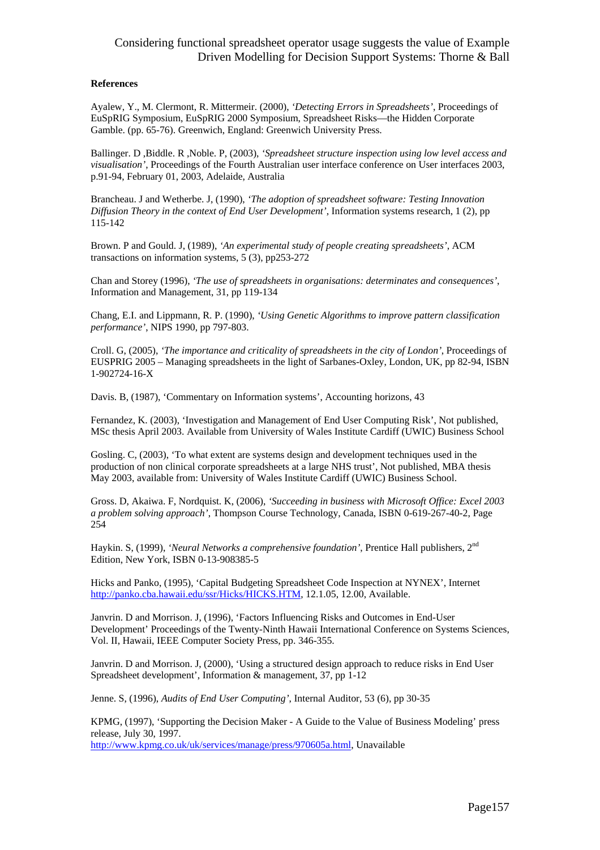#### **References**

Ayalew, Y., M. Clermont, R. Mittermeir. (2000), *'Detecting Errors in Spreadsheets'*, Proceedings of EuSpRIG Symposium, EuSpRIG 2000 Symposium, Spreadsheet Risks—the Hidden Corporate Gamble. (pp. 65-76). Greenwich, England: Greenwich University Press.

Ballinger. D ,Biddle. R ,Noble. P, (2003), *'Spreadsheet structure inspection using low level access and visualisation'*, Proceedings of the Fourth Australian user interface conference on User interfaces 2003, p.91-94, February 01, 2003, Adelaide, Australia

Brancheau. J and Wetherbe. J, (1990), *'The adoption of spreadsheet software: Testing Innovation Diffusion Theory in the context of End User Development'*, Information systems research, 1 (2), pp 115-142

Brown. P and Gould. J, (1989), *'An experimental study of people creating spreadsheets'*, ACM transactions on information systems, 5 (3), pp253-272

Chan and Storey (1996), *'The use of spreadsheets in organisations: determinates and consequences'*, Information and Management, 31, pp 119-134

Chang, E.I. and Lippmann, R. P. (1990), *'Using Genetic Algorithms to improve pattern classification performance'*, NIPS 1990, pp 797-803.

Croll. G, (2005), *'The importance and criticality of spreadsheets in the city of London'*, Proceedings of EUSPRIG 2005 – Managing spreadsheets in the light of Sarbanes-Oxley, London, UK, pp 82-94, ISBN 1-902724-16-X

Davis. B, (1987), 'Commentary on Information systems', Accounting horizons, 43

Fernandez, K. (2003), 'Investigation and Management of End User Computing Risk', Not published, MSc thesis April 2003. Available from University of Wales Institute Cardiff (UWIC) Business School

Gosling. C, (2003), 'To what extent are systems design and development techniques used in the production of non clinical corporate spreadsheets at a large NHS trust', Not published, MBA thesis May 2003, available from: University of Wales Institute Cardiff (UWIC) Business School.

Gross. D, Akaiwa. F, Nordquist. K, (2006), *'Succeeding in business with Microsoft Office: Excel 2003 a problem solving approach'*, Thompson Course Technology, Canada, ISBN 0-619-267-40-2, Page 254

Haykin. S, (1999), *'Neural Networks a comprehensive foundation'*, Prentice Hall publishers, 2nd Edition, New York, ISBN 0-13-908385-5

Hicks and Panko, (1995), 'Capital Budgeting Spreadsheet Code Inspection at NYNEX', Internet http://panko.cba.hawaii.edu/ssr/Hicks/HICKS.HTM, 12.1.05, 12.00, Available.

Janvrin. D and Morrison. J, (1996), 'Factors Influencing Risks and Outcomes in End-User Development' Proceedings of the Twenty-Ninth Hawaii International Conference on Systems Sciences, Vol. II, Hawaii, IEEE Computer Society Press, pp. 346-355.

Janvrin. D and Morrison. J, (2000), 'Using a structured design approach to reduce risks in End User Spreadsheet development', Information & management, 37, pp 1-12

Jenne. S, (1996), *Audits of End User Computing'*, Internal Auditor, 53 (6), pp 30-35

KPMG, (1997), 'Supporting the Decision Maker - A Guide to the Value of Business Modeling' press release, July 30, 1997.

http://www.kpmg.co.uk/uk/services/manage/press/970605a.html, Unavailable